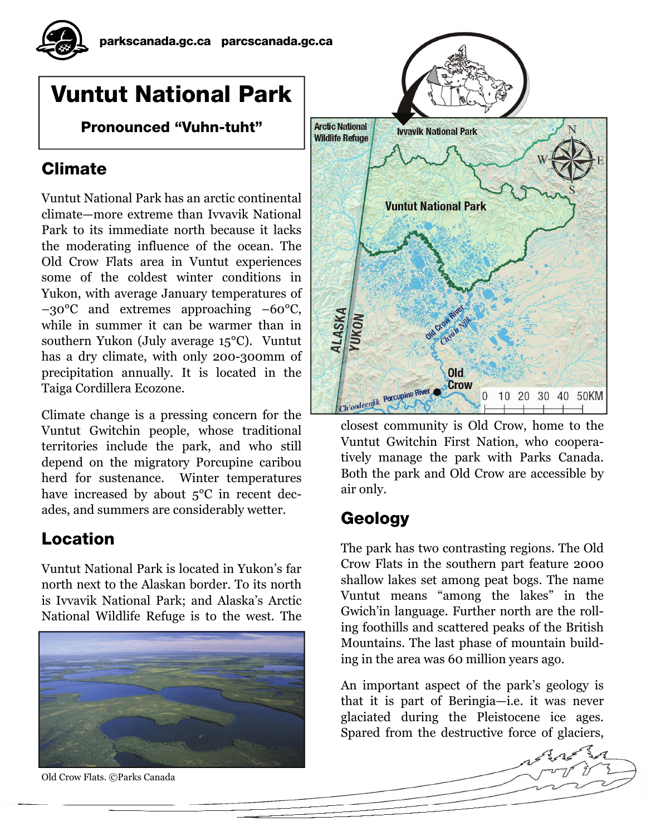# Vuntut National Park

Pronounced "Vuhn-tuht"

### Climate

Vuntut National Park has an arctic continental climate—more extreme than Ivvavik National Park to its immediate north because it lacks the moderating influence of the ocean. The Old Crow Flats area in Vuntut experiences some of the coldest winter conditions in Yukon, with average January temperatures of –30°C and extremes approaching –60°C, while in summer it can be warmer than in southern Yukon (July average 15°C). Vuntut has a dry climate, with only 200-300mm of precipitation annually. It is located in the Taiga Cordillera Ecozone.

Climate change is a pressing concern for the Vuntut Gwitchin people, whose traditional territories include the park, and who still depend on the migratory Porcupine caribou herd for sustenance. Winter temperatures have increased by about  $5^{\circ}$ C in recent decades, and summers are considerably wetter.

### Location

Vuntut National Park is located in Yukon's far north next to the Alaskan border. To its north is Ivvavik National Park; and Alaska's Arctic National Wildlife Refuge is to the west. The



Old Crow Flats. ©Parks Canada



closest community is Old Crow, home to the Vuntut Gwitchin First Nation, who cooperatively manage the park with Parks Canada. Both the park and Old Crow are accessible by air only.

## Geology

The park has two contrasting regions. The Old Crow Flats in the southern part feature 2000 shallow lakes set among peat bogs. The name Vuntut means "among the lakes" in the Gwich'in language. Further north are the rolling foothills and scattered peaks of the British Mountains. The last phase of mountain building in the area was 60 million years ago.

An important aspect of the park's geology is that it is part of Beringia—i.e. it was never glaciated during the Pleistocene ice ages. Spared from the destructive force of glaciers,